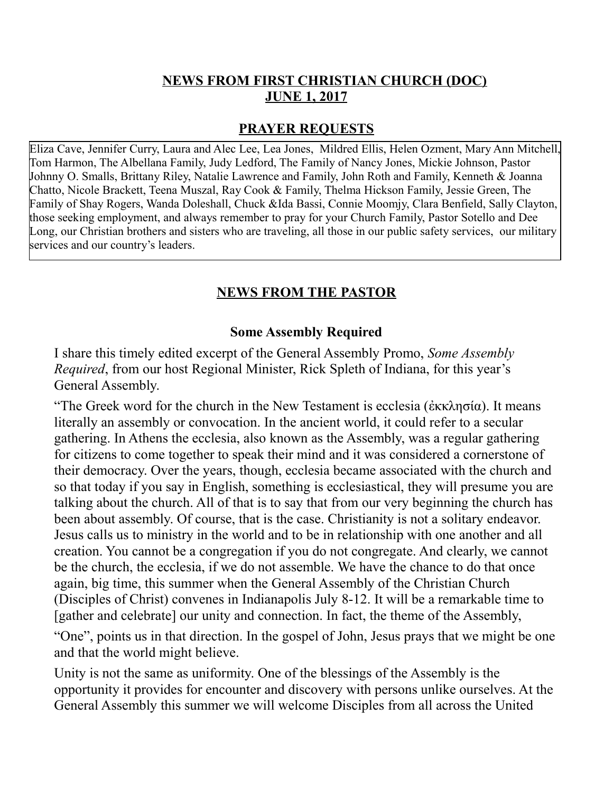#### **NEWS FROM FIRST CHRISTIAN CHURCH (DOC) JUNE 1, 2017**

#### **PRAYER REQUESTS**

Eliza Cave, Jennifer Curry, Laura and Alec Lee, Lea Jones, Mildred Ellis, Helen Ozment, Mary Ann Mitchell, Tom Harmon, The Albellana Family, Judy Ledford, The Family of Nancy Jones, Mickie Johnson, Pastor Johnny O. Smalls, Brittany Riley, Natalie Lawrence and Family, John Roth and Family, Kenneth & Joanna Chatto, Nicole Brackett, Teena Muszal, Ray Cook & Family, Thelma Hickson Family, Jessie Green, The Family of Shay Rogers, Wanda Doleshall, Chuck &Ida Bassi, Connie Moomjy, Clara Benfield, Sally Clayton, those seeking employment, and always remember to pray for your Church Family, Pastor Sotello and Dee Long, our Christian brothers and sisters who are traveling, all those in our public safety services, our military services and our country's leaders.

# **NEWS FROM THE PASTOR**

## **Some Assembly Required**

I share this timely edited excerpt of the General Assembly Promo, *Some Assembly Required*, from our host Regional Minister, Rick Spleth of Indiana, for this year's General Assembly.

"The Greek word for the church in the New Testament is ecclesia (ἐκκλησία). It means literally an assembly or convocation. In the ancient world, it could refer to a secular gathering. In Athens the ecclesia, also known as the Assembly, was a regular gathering for citizens to come together to speak their mind and it was considered a cornerstone of their democracy. Over the years, though, ecclesia became associated with the church and so that today if you say in English, something is ecclesiastical, they will presume you are talking about the church. All of that is to say that from our very beginning the church has been about assembly. Of course, that is the case. Christianity is not a solitary endeavor. Jesus calls us to ministry in the world and to be in relationship with one another and all creation. You cannot be a congregation if you do not congregate. And clearly, we cannot be the church, the ecclesia, if we do not assemble. We have the chance to do that once again, big time, this summer when the General Assembly of the Christian Church (Disciples of Christ) convenes in Indianapolis July 8-12. It will be a remarkable time to [gather and celebrate] our unity and connection. In fact, the theme of the Assembly,

"One", points us in that direction. In the gospel of John, Jesus prays that we might be one and that the world might believe.

Unity is not the same as uniformity. One of the blessings of the Assembly is the opportunity it provides for encounter and discovery with persons unlike ourselves. At the General Assembly this summer we will welcome Disciples from all across the United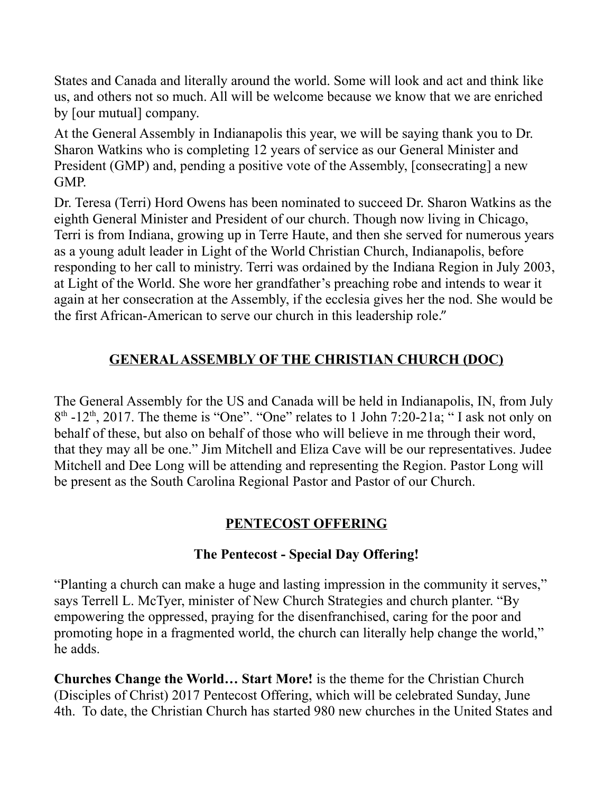States and Canada and literally around the world. Some will look and act and think like us, and others not so much. All will be welcome because we know that we are enriched by [our mutual] company.

At the General Assembly in Indianapolis this year, we will be saying thank you to Dr. Sharon Watkins who is completing 12 years of service as our General Minister and President (GMP) and, pending a positive vote of the Assembly, [consecrating] a new GMP.

Dr. Teresa (Terri) Hord Owens has been nominated to succeed Dr. Sharon Watkins as the eighth General Minister and President of our church. Though now living in Chicago, Terri is from Indiana, growing up in Terre Haute, and then she served for numerous years as a young adult leader in Light of the World Christian Church, Indianapolis, before responding to her call to ministry. Terri was ordained by the Indiana Region in July 2003, at Light of the World. She wore her grandfather's preaching robe and intends to wear it again at her consecration at the Assembly, if the ecclesia gives her the nod. She would be the first African-American to serve our church in this leadership role."

# **GENERAL ASSEMBLY OF THE CHRISTIAN CHURCH (DOC)**

The General Assembly for the US and Canada will be held in Indianapolis, IN, from July  $8<sup>th</sup>$  -12<sup>th</sup>, 2017. The theme is "One". "One" relates to 1 John 7:20-21a; "I ask not only on behalf of these, but also on behalf of those who will believe in me through their word, that they may all be one." Jim Mitchell and Eliza Cave will be our representatives. Judee Mitchell and Dee Long will be attending and representing the Region. Pastor Long will be present as the South Carolina Regional Pastor and Pastor of our Church.

## **PENTECOST OFFERING**

## **The Pentecost - Special Day Offering!**

"Planting a church can make a huge and lasting impression in the community it serves," says Terrell L. McTyer, minister of New Church Strategies and church planter. "By empowering the oppressed, praying for the disenfranchised, caring for the poor and promoting hope in a fragmented world, the church can literally help change the world," he adds.

**Churches Change the World… Start More!** is the theme for the Christian Church (Disciples of Christ) 2017 Pentecost Offering, which will be celebrated Sunday, June 4th. To date, the Christian Church has started 980 new churches in the United States and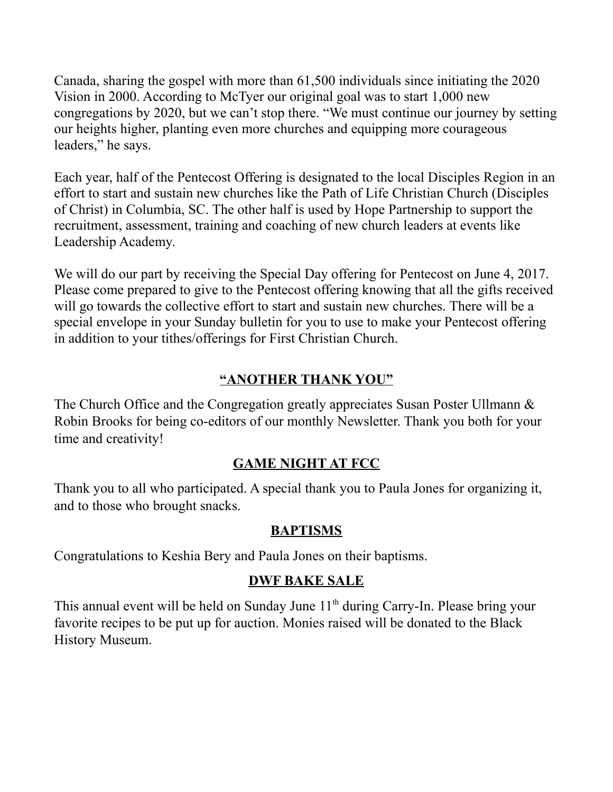Canada, sharing the gospel with more than 61,500 individuals since initiating the 2020 Vision in 2000. According to McTyer our original goal was to start 1,000 new congregations by 2020, but we can't stop there. "We must continue our journey by setting our heights higher, planting even more churches and equipping more courageous leaders," he says.

Each year, half of the Pentecost Offering is designated to the local Disciples Region in an effort to start and sustain new churches like the Path of Life Christian Church (Disciples of Christ) in Columbia, SC. The other half is used by Hope Partnership to support the recruitment, assessment, training and coaching of new church leaders at events like Leadership Academy.

We will do our part by receiving the Special Day offering for Pentecost on June 4, 2017. Please come prepared to give to the Pentecost offering knowing that all the gifts received will go towards the collective effort to start and sustain new churches. There will be a special envelope in your Sunday bulletin for you to use to make your Pentecost offering in addition to your tithes/offerings for First Christian Church.

## **"ANOTHER THANK YOU"**

The Church Office and the Congregation greatly appreciates Susan Poster Ullmann & Robin Brooks for being co-editors of our monthly Newsletter. Thank you both for your time and creativity!

## **GAME NIGHT AT FCC**

Thank you to all who participated. A special thank you to Paula Jones for organizing it, and to those who brought snacks.

## **BAPTISMS**

Congratulations to Keshia Bery and Paula Jones on their baptisms.

## **DWF BAKE SALE**

This annual event will be held on Sunday June  $11<sup>th</sup>$  during Carry-In. Please bring your favorite recipes to be put up for auction. Monies raised will be donated to the Black History Museum.